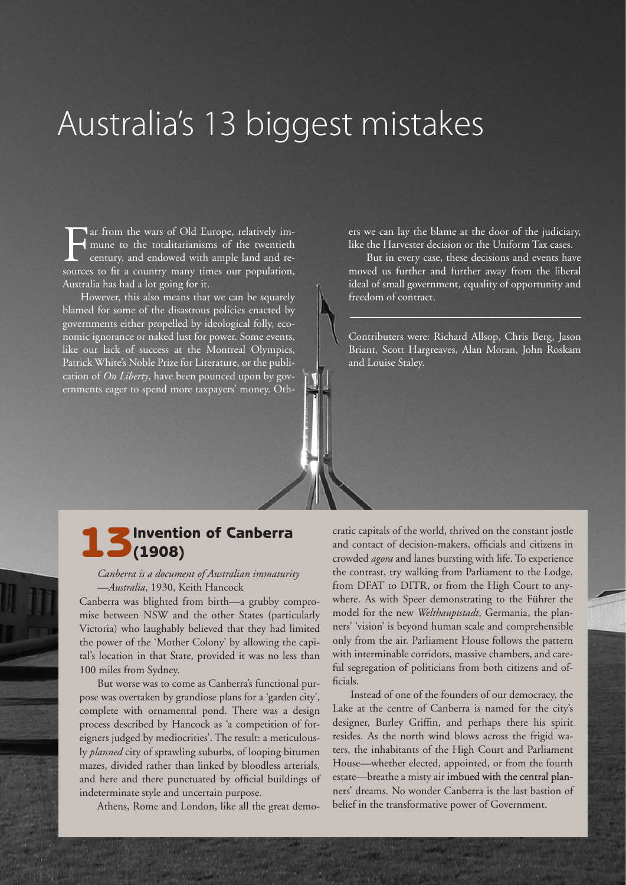## Australia's 13 biggest mistakes

The from the wars of Old Europe, relatively im-<br>mune to the totalitarianisms of the twentieth<br>century, and endowed with ample land and re-<br>sources to fit a country many times our population. mune to the totalitarianisms of the twentieth century, and endowed with ample land and resources to fit a country many times our population, Australia has had a lot going for it.

However, this also means that we can be squarely blamed for some of the disastrous policies enacted by governments either propelled by ideological folly, economic ignorance or naked lust for power. Some events, like our lack of success at the Montreal Olympics, Patrick White's Noble Prize for Literature, or the publication of *On Liberty*, have been pounced upon by governments eager to spend more taxpayers' money. Others we can lay the blame at the door of the judiciary, like the Harvester decision or the Uniform Tax cases.

But in every case, these decisions and events have moved us further and further away from the liberal ideal of small government, equality of opportunity and freedom of contract.

Contributers were: Richard Allsop, Chris Berg, Jason Briant, Scott Hargreaves, Alan Moran, John Roskam and Louise Staley.

# 13Invention of Canberra (1908)

#### *Canberra is a document of Australian immaturity* —*Australia*, 1930, Keith Hancock

Canberra was blighted from birth—a grubby compromise between NSW and the other States (particularly Victoria) who laughably believed that they had limited the power of the 'Mother Colony' by allowing the capital's location in that State, provided it was no less than 100 miles from Sydney.

But worse was to come as Canberra's functional purpose was overtaken by grandiose plans for a 'garden city', complete with ornamental pond. There was a design process described by Hancock as 'a competition of foreigners judged by mediocrities'. The result: a meticulously *planned* city of sprawling suburbs, of looping bitumen mazes, divided rather than linked by bloodless arterials, and here and there punctuated by official buildings of indeterminate style and uncertain purpose.

Athens, Rome and London, like all the great demo-

**E V I E W**

cratic capitals of the world, thrived on the constant jostle and contact of decision-makers, officials and citizens in crowded *agora* and lanes bursting with life. To experience the contrast, try walking from Parliament to the Lodge, from DFAT to DITR, or from the High Court to anywhere. As with Speer demonstrating to the Führer the model for the new *Welthauptstadt*, Germania, the planners' 'vision' is beyond human scale and comprehensible only from the air. Parliament House follows the pattern with interminable corridors, massive chambers, and careful segregation of politicians from both citizens and officials.

Instead of one of the founders of our democracy, the Lake at the centre of Canberra is named for the city's designer, Burley Griffin, and perhaps there his spirit resides. As the north wind blows across the frigid waters, the inhabitants of the High Court and Parliament House—whether elected, appointed, or from the fourth estate—breathe a misty air imbued with the central planners' dreams. No wonder Canberra is the last bastion of belief in the transformative power of Government.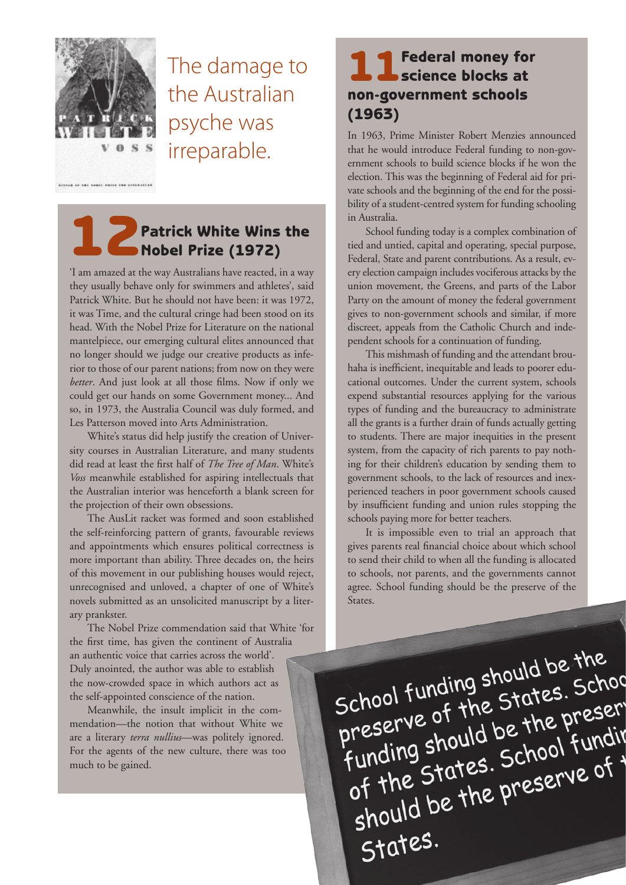

The damage to the Australian psyche was irreparable.

### Patrick White Wins the Nobel Prize (1972)

'I am amazed at the way Australians have reacted, in a way they usually behave only for swimmers and athletes', said Patrick White. But he should not have been: it was 1972, it was Time, and the cultural cringe had been stood on its head. With the Nobel Prize for Literature on the national mantelpiece, our emerging cultural elites announced that no longer should we judge our creative products as inferior to those of our parent nations; from now on they were *better*. And just look at all those films. Now if only we could get our hands on some Government money... And so, in 1973, the Australia Council was duly formed, and Les Patterson moved into Arts Administration.

White's status did help justify the creation of University courses in Australian Literature, and many students did read at least the first half of *The Tree of Man*. White's *Voss* meanwhile established for aspiring intellectuals that the Australian interior was henceforth a blank screen for the projection of their own obsessions.

The AusLit racket was formed and soon established the self-reinforcing pattern of grants, favourable reviews and appointments which ensures political correctness is more important than ability. Three decades on, the heirs of this movement in our publishing houses would reject, unrecognised and unloved, a chapter of one of White's novels submitted as an unsolicited manuscript by a literary prankster.

The Nobel Prize commendation said that White 'for the first time, has given the continent of Australia an authentic voice that carries across the world'. Duly anointed, the author was able to establish the now-crowded space in which authors act as the self-appointed conscience of the nation.

Meanwhile, the insult implicit in the commendation—the notion that without White we are a literary *terra nullius*—was politely ignored. For the agents of the new culture, there was too much to be gained.

### 11 Federal money for<br>
Science blocks at non-government schools (1963)

In 1963, Prime Minister Robert Menzies announced that he would introduce Federal funding to non-government schools to build science blocks if he won the election. This was the beginning of Federal aid for private schools and the beginning of the end for the possibility of a student-centred system for funding schooling in Australia.

School funding today is a complex combination of tied and untied, capital and operating, special purpose, Federal, State and parent contributions. As a result, every election campaign includes vociferous attacks by the union movement, the Greens, and parts of the Labor Party on the amount of money the federal government gives to non-government schools and similar, if more discreet, appeals from the Catholic Church and independent schools for a continuation of funding.

This mishmash of funding and the attendant brouhaha is inefficient, inequitable and leads to poorer educational outcomes. Under the current system, schools expend substantial resources applying for the various types of funding and the bureaucracy to administrate all the grants is a further drain of funds actually getting to students. There are major inequities in the present system, from the capacity of rich parents to pay nothing for their children's education by sending them to government schools, to the lack of resources and inexperienced teachers in poor government schools caused by insufficient funding and union rules stopping the schools paying more for better teachers.

It is impossible even to trial an approach that gives parents real financial choice about which school to send their child to when all the funding is allocated to schools, not parents, and the governments cannot agree. School funding should be the preserve of the States.

School funding should be the<br>School funding should be the School funding should be the<br>preserve of the States. School<br>preserve of the States preser School funuing states. June<br>preserve of the states. Jundir<br>funding should be the preser preserve of the the preserve of tunding should be the preserve of unding show.<br>of the States. School I under States.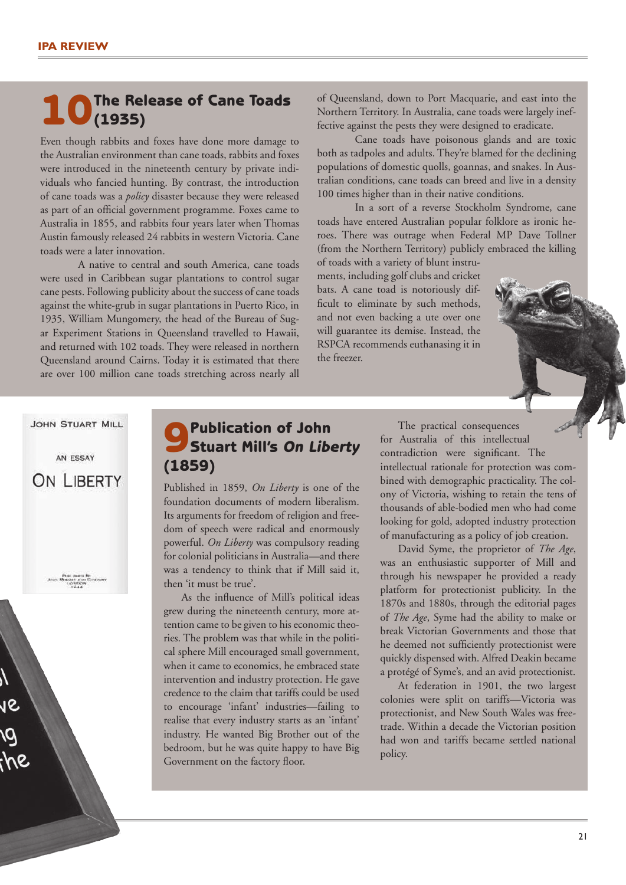#### **1. O** The Release of Cane Toads (1935)

Even though rabbits and foxes have done more damage to the Australian environment than cane toads, rabbits and foxes were introduced in the nineteenth century by private individuals who fancied hunting. By contrast, the introduction of cane toads was a *policy* disaster because they were released as part of an official government programme. Foxes came to Australia in 1855, and rabbits four years later when Thomas Austin famously released 24 rabbits in western Victoria. Cane toads were a later innovation.

A native to central and south America, cane toads were used in Caribbean sugar plantations to control sugar cane pests. Following publicity about the success of cane toads against the white-grub in sugar plantations in Puerto Rico, in 1935, William Mungomery, the head of the Bureau of Sugar Experiment Stations in Queensland travelled to Hawaii, and returned with 102 toads. They were released in northern Queensland around Cairns. Today it is estimated that there are over 100 million cane toads stretching across nearly all of Queensland, down to Port Macquarie, and east into the Northern Territory. In Australia, cane toads were largely ineffective against the pests they were designed to eradicate.

Cane toads have poisonous glands and are toxic both as tadpoles and adults. They're blamed for the declining populations of domestic quolls, goannas, and snakes. In Australian conditions, cane toads can breed and live in a density 100 times higher than in their native conditions.

In a sort of a reverse Stockholm Syndrome, cane toads have entered Australian popular folklore as ironic heroes. There was outrage when Federal MP Dave Tollner (from the Northern Territory) publicly embraced the killing

of toads with a variety of blunt instruments, including golf clubs and cricket bats. A cane toad is notoriously difficult to eliminate by such methods, and not even backing a ute over one will guarantee its demise. Instead, the RSPCA recommends euthanasing it in the freezer.

JOHN STUART MILL

AN ESSAY ON LIBERTY

## 9Publication of John Stuart Mill's *On Liberty* (1859)

Published in 1859, *On Liberty* is one of the foundation documents of modern liberalism. Its arguments for freedom of religion and freedom of speech were radical and enormously powerful. *On Liberty* was compulsory reading for colonial politicians in Australia—and there was a tendency to think that if Mill said it, then 'it must be true'.

As the influence of Mill's political ideas grew during the nineteenth century, more attention came to be given to his economic theories. The problem was that while in the political sphere Mill encouraged small government, when it came to economics, he embraced state intervention and industry protection. He gave credence to the claim that tariffs could be used to encourage 'infant' industries—failing to realise that every industry starts as an 'infant' industry. He wanted Big Brother out of the bedroom, but he was quite happy to have Big Government on the factory floor.

The practical consequences for Australia of this intellectual contradiction were significant. The intellectual rationale for protection was combined with demographic practicality. The colony of Victoria, wishing to retain the tens of thousands of able-bodied men who had come looking for gold, adopted industry protection of manufacturing as a policy of job creation.

David Syme, the proprietor of *The Age*, was an enthusiastic supporter of Mill and through his newspaper he provided a ready platform for protectionist publicity. In the 1870s and 1880s, through the editorial pages of *The Age*, Syme had the ability to make or break Victorian Governments and those that he deemed not sufficiently protectionist were quickly dispensed with. Alfred Deakin became a protégé of Syme's, and an avid protectionist.

At federation in 1901, the two largest colonies were split on tariffs—Victoria was protectionist, and New South Wales was freetrade. Within a decade the Victorian position had won and tariffs became settled national policy.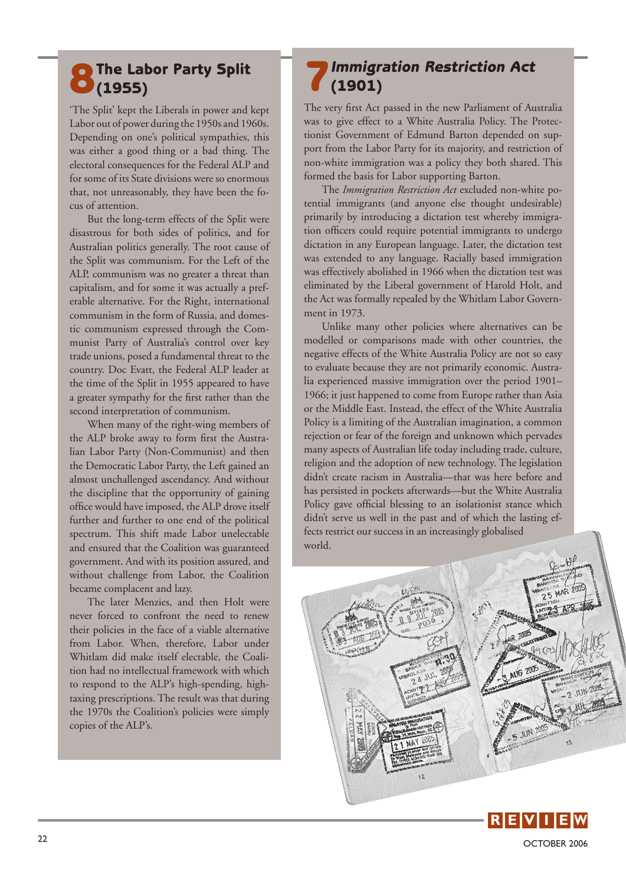#### **8 The Labor Party Split**  $O(1955)$

'The Split' kept the Liberals in power and kept Labor out of power during the 1950s and 1960s. Depending on one's political sympathies, this was either a good thing or a bad thing. The electoral consequences for the Federal ALP and for some of its State divisions were so enormous that, not unreasonably, they have been the focus of attention.

But the long-term effects of the Split were disastrous for both sides of politics, and for Australian politics generally. The root cause of the Split was communism. For the Left of the ALP, communism was no greater a threat than capitalism, and for some it was actually a preferable alternative. For the Right, international communism in the form of Russia, and domestic communism expressed through the Communist Party of Australia's control over key trade unions, posed a fundamental threat to the country. Doc Evatt, the Federal ALP leader at the time of the Split in 1955 appeared to have a greater sympathy for the first rather than the second interpretation of communism.

When many of the right-wing members of the ALP broke away to form first the Australian Labor Party (Non-Communist) and then the Democratic Labor Party, the Left gained an almost unchallenged ascendancy. And without the discipline that the opportunity of gaining office would have imposed, the ALP drove itself further and further to one end of the political spectrum. This shift made Labor unelectable and ensured that the Coalition was guaranteed government. And with its position assured, and without challenge from Labor, the Coalition became complacent and lazy.

The later Menzies, and then Holt were never forced to confront the need to renew their policies in the face of a viable alternative from Labor. When, therefore, Labor under Whitlam did make itself electable, the Coalition had no intellectual framework with which to respond to the ALP's high-spending, hightaxing prescriptions. The result was that during the 1970s the Coalition's policies were simply copies of the ALP's.

#### 7*Immigration Restriction Act* (1901)

The very first Act passed in the new Parliament of Australia was to give effect to a White Australia Policy. The Protectionist Government of Edmund Barton depended on support from the Labor Party for its majority, and restriction of non-white immigration was a policy they both shared. This formed the basis for Labor supporting Barton.

The *Immigration Restriction Act* excluded non-white potential immigrants (and anyone else thought undesirable) primarily by introducing a dictation test whereby immigration officers could require potential immigrants to undergo dictation in any European language. Later, the dictation test was extended to any language. Racially based immigration was effectively abolished in 1966 when the dictation test was eliminated by the Liberal government of Harold Holt, and the Act was formally repealed by the Whitlam Labor Government in 1973.

Unlike many other policies where alternatives can be modelled or comparisons made with other countries, the negative effects of the White Australia Policy are not so easy to evaluate because they are not primarily economic. Australia experienced massive immigration over the period 1901– 1966; it just happened to come from Europe rather than Asia or the Middle East. Instead, the effect of the White Australia Policy is a limiting of the Australian imagination, a common rejection or fear of the foreign and unknown which pervades many aspects of Australian life today including trade, culture, religion and the adoption of new technology. The legislation didn't create racism in Australia—that was here before and has persisted in pockets afterwards—but the White Australia Policy gave official blessing to an isolationist stance which didn't serve us well in the past and of which the lasting effects restrict our success in an increasingly globalised world.



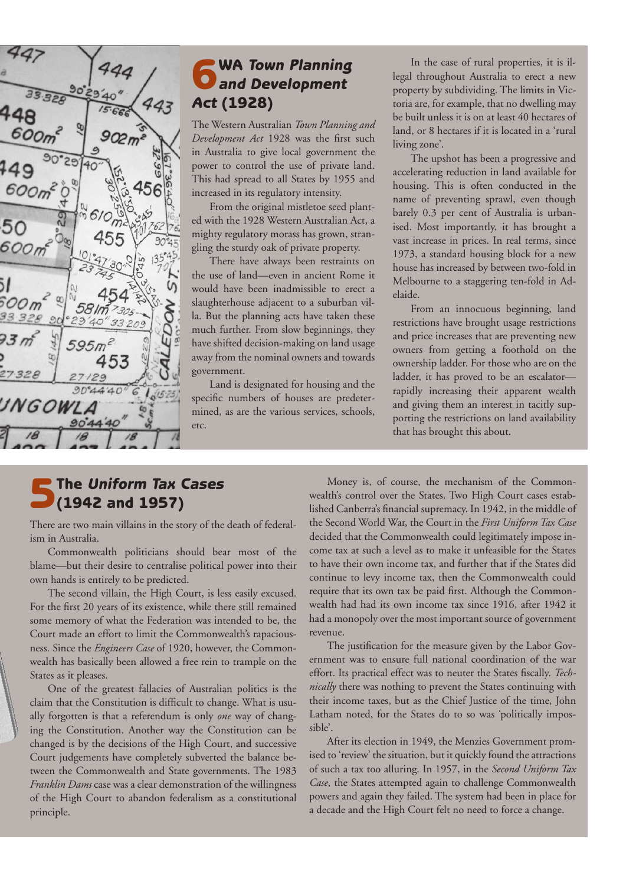

## 6WA *Town Planning and Development Act* (1928)

The Western Australian *Town Planning and Development Act* 1928 was the first such in Australia to give local government the power to control the use of private land. This had spread to all States by 1955 and increased in its regulatory intensity.

From the original mistletoe seed planted with the 1928 Western Australian Act, a mighty regulatory morass has grown, strangling the sturdy oak of private property.

There have always been restraints on the use of land—even in ancient Rome it would have been inadmissible to erect a slaughterhouse adjacent to a suburban villa. But the planning acts have taken these much further. From slow beginnings, they have shifted decision-making on land usage away from the nominal owners and towards government.

Land is designated for housing and the specific numbers of houses are predetermined, as are the various services, schools, etc.

In the case of rural properties, it is illegal throughout Australia to erect a new property by subdividing. The limits in Victoria are, for example, that no dwelling may be built unless it is on at least 40 hectares of land, or 8 hectares if it is located in a 'rural living zone'.

The upshot has been a progressive and accelerating reduction in land available for housing. This is often conducted in the name of preventing sprawl, even though barely 0.3 per cent of Australia is urbanised. Most importantly, it has brought a vast increase in prices. In real terms, since 1973, a standard housing block for a new house has increased by between two-fold in Melbourne to a staggering ten-fold in Adelaide.

From an innocuous beginning, land restrictions have brought usage restrictions and price increases that are preventing new owners from getting a foothold on the ownership ladder. For those who are on the ladder, it has proved to be an escalator rapidly increasing their apparent wealth and giving them an interest in tacitly supporting the restrictions on land availability that has brought this about.

# 5The *Uniform Tax Cases* (1942 and 1957)

There are two main villains in the story of the death of federalism in Australia.

Commonwealth politicians should bear most of the blame—but their desire to centralise political power into their own hands is entirely to be predicted.

The second villain, the High Court, is less easily excused. For the first 20 years of its existence, while there still remained some memory of what the Federation was intended to be, the Court made an effort to limit the Commonwealth's rapaciousness. Since the *Engineers Case* of 1920, however, the Commonwealth has basically been allowed a free rein to trample on the States as it pleases.

**R E E E I E E E E E E E** One of the greatest fallacies of Australian politics is the claim that the Constitution is difficult to change. What is usually forgotten is that a referendum is only *one* way of changing the Constitution. Another way the Constitution can be changed is by the decisions of the High Court, and successive Court judgements have completely subverted the balance between the Commonwealth and State governments. The 1983 *Franklin Dams* case was a clear demonstration of the willingness of the High Court to abandon federalism as a constitutional principle.

Money is, of course, the mechanism of the Commonwealth's control over the States. Two High Court cases established Canberra's financial supremacy. In 1942, in the middle of the Second World War, the Court in the *First Uniform Tax Case* decided that the Commonwealth could legitimately impose income tax at such a level as to make it unfeasible for the States to have their own income tax, and further that if the States did continue to levy income tax, then the Commonwealth could require that its own tax be paid first. Although the Commonwealth had had its own income tax since 1916, after 1942 it had a monopoly over the most important source of government revenue.

The justification for the measure given by the Labor Government was to ensure full national coordination of the war effort. Its practical effect was to neuter the States fiscally. *Technically* there was nothing to prevent the States continuing with their income taxes, but as the Chief Justice of the time, John Latham noted, for the States do to so was 'politically impossible'.

After its election in 1949, the Menzies Government promised to 'review' the situation, but it quickly found the attractions of such a tax too alluring. In 1957, in the *Second Uniform Tax Case*, the States attempted again to challenge Commonwealth powers and again they failed. The system had been in place for a decade and the High Court felt no need to force a change.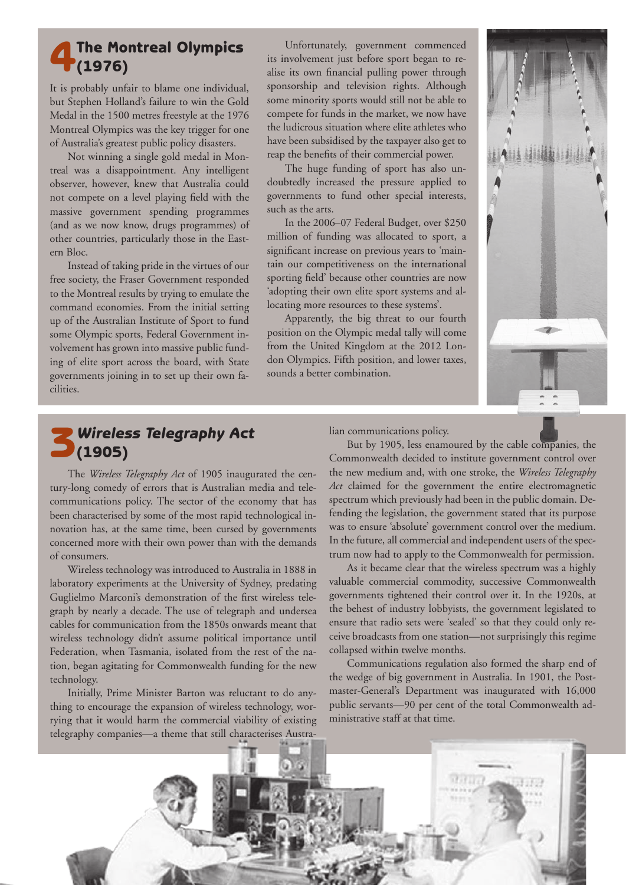#### The Montreal Olympics  $(1976)$

It is probably unfair to blame one individual, but Stephen Holland's failure to win the Gold Medal in the 1500 metres freestyle at the 1976 Montreal Olympics was the key trigger for one of Australia's greatest public policy disasters.

Not winning a single gold medal in Montreal was a disappointment. Any intelligent observer, however, knew that Australia could not compete on a level playing field with the massive government spending programmes (and as we now know, drugs programmes) of other countries, particularly those in the Eastern Bloc.

Instead of taking pride in the virtues of our free society, the Fraser Government responded to the Montreal results by trying to emulate the command economies. From the initial setting up of the Australian Institute of Sport to fund some Olympic sports, Federal Government involvement has grown into massive public funding of elite sport across the board, with State governments joining in to set up their own facilities.

Unfortunately, government commenced its involvement just before sport began to realise its own financial pulling power through sponsorship and television rights. Although some minority sports would still not be able to compete for funds in the market, we now have the ludicrous situation where elite athletes who have been subsidised by the taxpayer also get to reap the benefits of their commercial power.

The huge funding of sport has also undoubtedly increased the pressure applied to governments to fund other special interests, such as the arts.

In the 2006–07 Federal Budget, over \$250 million of funding was allocated to sport, a significant increase on previous years to 'maintain our competitiveness on the international sporting field' because other countries are now 'adopting their own elite sport systems and allocating more resources to these systems'.

Apparently, the big threat to our fourth position on the Olympic medal tally will come from the United Kingdom at the 2012 London Olympics. Fifth position, and lower taxes, sounds a better combination.



#### 3*Wireless Telegraphy Act*  $(1905)$

The *Wireless Telegraphy Act* of 1905 inaugurated the century-long comedy of errors that is Australian media and telecommunications policy. The sector of the economy that has been characterised by some of the most rapid technological innovation has, at the same time, been cursed by governments concerned more with their own power than with the demands of consumers.

Wireless technology was introduced to Australia in 1888 in laboratory experiments at the University of Sydney, predating Guglielmo Marconi's demonstration of the first wireless telegraph by nearly a decade. The use of telegraph and undersea cables for communication from the 1850s onwards meant that wireless technology didn't assume political importance until Federation, when Tasmania, isolated from the rest of the nation, began agitating for Commonwealth funding for the new technology.

Initially, Prime Minister Barton was reluctant to do anything to encourage the expansion of wireless technology, worrying that it would harm the commercial viability of existing telegraphy companies—a theme that still characterises Australian communications policy.

But by 1905, less enamoured by the cable companies, the Commonwealth decided to institute government control over the new medium and, with one stroke, the *Wireless Telegraphy Act* claimed for the government the entire electromagnetic spectrum which previously had been in the public domain. Defending the legislation, the government stated that its purpose was to ensure 'absolute' government control over the medium. In the future, all commercial and independent users of the spectrum now had to apply to the Commonwealth for permission.

As it became clear that the wireless spectrum was a highly valuable commercial commodity, successive Commonwealth governments tightened their control over it. In the 1920s, at the behest of industry lobbyists, the government legislated to ensure that radio sets were 'sealed' so that they could only receive broadcasts from one station—not surprisingly this regime collapsed within twelve months.

Communications regulation also formed the sharp end of the wedge of big government in Australia. In 1901, the Postmaster-General's Department was inaugurated with 16,000 public servants—90 per cent of the total Commonwealth administrative staff at that time.